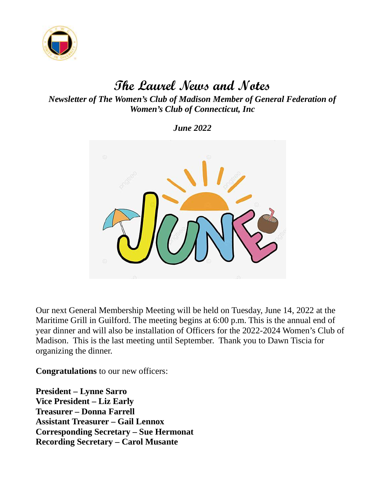

# The Laurel News and Notes

Newsletter of The Women's Club of Madison Member of General Federation of Women's Club of Connecticut, Inc

June 2022



Our next General Membership Meeting will be held on Tuesday, June 14, 2022 at the Maritime Grill in Guilford. The meeting begins at 6:00 p.m. This is the annual end of year dinner and will also be installation of Officers for the 2022-2024 Women's Club of Madison. This is the last meeting until September. Thank you to Dawn Tiscia for organizing the dinner.

Congratulations to our new officers:

President – Lynne Sarro Vice President – Liz Early Treasurer – Donna Farrell Assistant Treasurer – Gail Lennox Corresponding Secretary – Sue Hermonat Recording Secretary – Carol Musante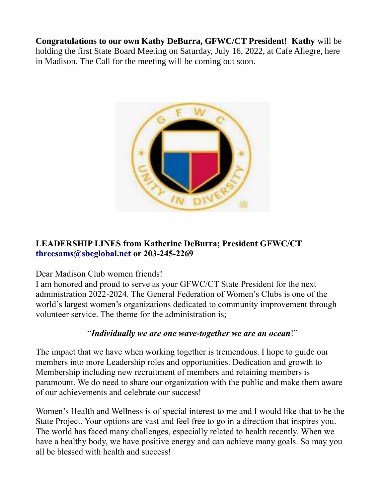Congratulations to our own Kathy DeBurra, GFWC/CT President! Kathy will be holding the first State Board Meeting on Saturday, July 16, 2022, at Cafe Allegre, here in Madison. The Call for the meeting will be coming out soon.



### LEADERSHIP LINES from Katherine DeBurra; President GFWC/CT threesams@sbcglobal.net or 203-245-2269

#### Dear Madison Club women friends!

I am honored and proud to serve as your GFWC/CT State President for the next administration 2022-2024. The General Federation of Women's Clubs is one of the world's largest women's organizations dedicated to community improvement through volunteer service. The theme for the administration is;

#### "Individually we are one wave-together we are an ocean!"

The impact that we have when working together is tremendous. I hope to guide our members into more Leadership roles and opportunities. Dedication and growth to Membership including new recruitment of members and retaining members is paramount. We do need to share our organization with the public and make them aware of our achievements and celebrate our success!

Women's Health and Wellness is of special interest to me and I would like that to be the State Project. Your options are vast and feel free to go in a direction that inspires you. The world has faced many challenges, especially related to health recently. When we have a healthy body, we have positive energy and can achieve many goals. So may you all be blessed with health and success!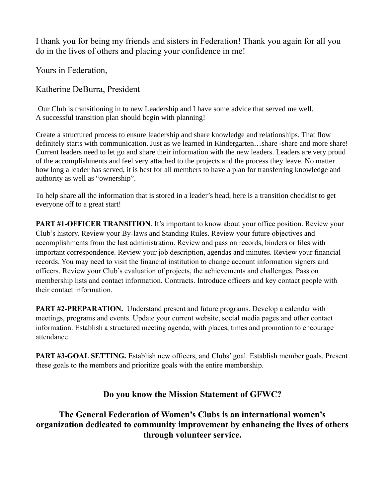I thank you for being my friends and sisters in Federation! Thank you again for all you do in the lives of others and placing your confidence in me!

Yours in Federation,

Katherine DeBurra, President

Our Club is transitioning in to new Leadership and I have some advice that served me well. A successful transition plan should begin with planning!

Create a structured process to ensure leadership and share knowledge and relationships. That flow definitely starts with communication. Just as we learned in Kindergarten…share -share and more share! Current leaders need to let go and share their information with the new leaders. Leaders are very proud of the accomplishments and feel very attached to the projects and the process they leave. No matter how long a leader has served, it is best for all members to have a plan for transferring knowledge and authority as well as "ownership".

To help share all the information that is stored in a leader's head, here is a transition checklist to get everyone off to a great start!

PART #1-OFFICER TRANSITION. It's important to know about your office position. Review your Club's history. Review your By-laws and Standing Rules. Review your future objectives and accomplishments from the last administration. Review and pass on records, binders or files with important correspondence. Review your job description, agendas and minutes. Review your financial records. You may need to visit the financial institution to change account information signers and officers. Review your Club's evaluation of projects, the achievements and challenges. Pass on membership lists and contact information. Contracts. Introduce officers and key contact people with their contact information.

PART #2-PREPARATION. Understand present and future programs. Develop a calendar with meetings, programs and events. Update your current website, social media pages and other contact information. Establish a structured meeting agenda, with places, times and promotion to encourage attendance.

PART #3-GOAL SETTING. Establish new officers, and Clubs' goal. Establish member goals. Present these goals to the members and prioritize goals with the entire membership.

#### Do you know the Mission Statement of GFWC?

The General Federation of Women's Clubs is an international women's organization dedicated to community improvement by enhancing the lives of others through volunteer service.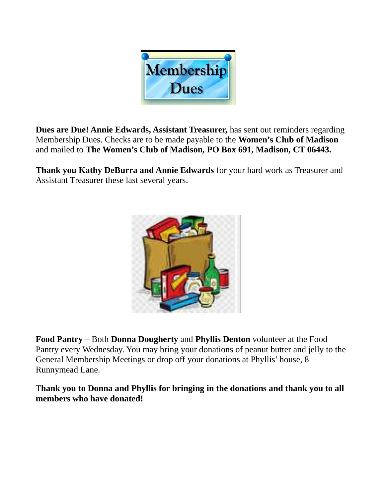

Dues are Due! Annie Edwards, Assistant Treasurer, has sent out reminders regarding Membership Dues. Checks are to be made payable to the Women's Club of Madison and mailed to The Women's Club of Madison, PO Box 691, Madison, CT 06443.

Thank you Kathy DeBurra and Annie Edwards for your hard work as Treasurer and Assistant Treasurer these last several years.



Food Pantry – Both Donna Dougherty and Phyllis Denton volunteer at the Food Pantry every Wednesday. You may bring your donations of peanut butter and jelly to the General Membership Meetings or drop off your donations at Phyllis' house, 8 Runnymead Lane.

Thank you to Donna and Phyllis for bringing in the donations and thank you to all members who have donated!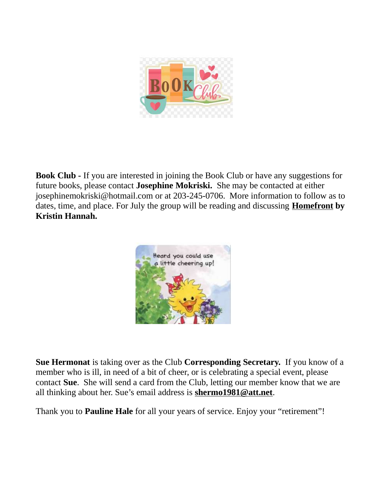

**Book Club -** If you are interested in joining the Book Club or have any suggestions for future books, please contact Josephine Mokriski. She may be contacted at either josephinemokriski@hotmail.com or at 203-245-0706. More information to follow as to dates, time, and place. For July the group will be reading and discussing **Homefront by** Kristin Hannah.



Sue Hermonat is taking over as the Club Corresponding Secretary. If you know of a member who is ill, in need of a bit of cheer, or is celebrating a special event, please contact Sue. She will send a card from the Club, letting our member know that we are all thinking about her. Sue's email address is shermo1981@att.net.

Thank you to **Pauline Hale** for all your years of service. Enjoy your "retirement"!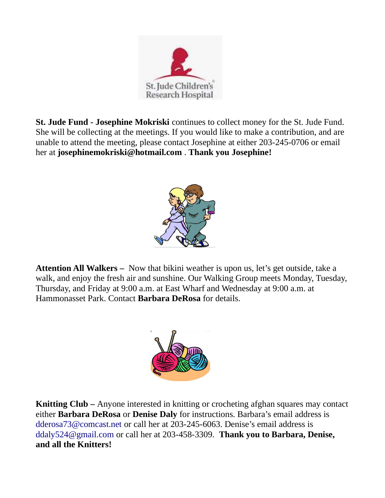

St. Jude Fund - Josephine Mokriski continues to collect money for the St. Jude Fund. She will be collecting at the meetings. If you would like to make a contribution, and are unable to attend the meeting, please contact Josephine at either 203-245-0706 or email her at josephinemokriski@hotmail.com . Thank you Josephine!



Attention All Walkers – Now that bikini weather is upon us, let's get outside, take a walk, and enjoy the fresh air and sunshine. Our Walking Group meets Monday, Tuesday, Thursday, and Friday at 9:00 a.m. at East Wharf and Wednesday at 9:00 a.m. at Hammonasset Park. Contact Barbara DeRosa for details.



Knitting Club – Anyone interested in knitting or crocheting afghan squares may contact either **Barbara DeRosa** or **Denise Daly** for instructions. Barbara's email address is dderosa73@comcast.net or call her at 203-245-6063. Denise's email address is ddaly524@gmail.com or call her at 203-458-3309. Thank you to Barbara, Denise, and all the Knitters!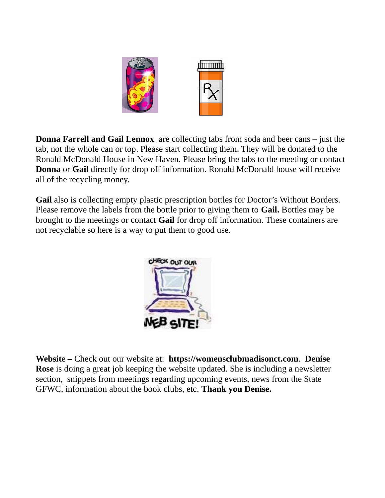

Donna Farrell and Gail Lennox are collecting tabs from soda and beer cans – just the tab, not the whole can or top. Please start collecting them. They will be donated to the Ronald McDonald House in New Haven. Please bring the tabs to the meeting or contact Donna or Gail directly for drop off information. Ronald McDonald house will receive all of the recycling money.

Gail also is collecting empty plastic prescription bottles for Doctor's Without Borders. Please remove the labels from the bottle prior to giving them to **Gail.** Bottles may be brought to the meetings or contact Gail for drop off information. These containers are not recyclable so here is a way to put them to good use.



Website – Check out our website at: https://womensclubmadisonct.com. Denise Rose is doing a great job keeping the website updated. She is including a newsletter section, snippets from meetings regarding upcoming events, news from the State GFWC, information about the book clubs, etc. Thank you Denise.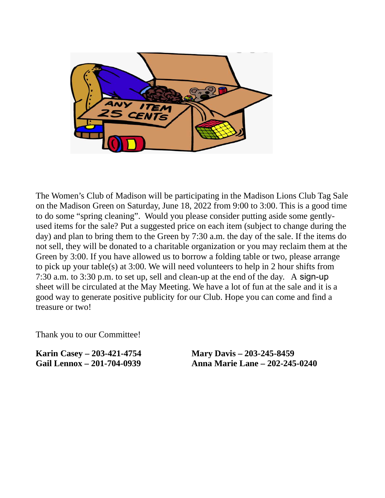

The Women's Club of Madison will be participating in the Madison Lions Club Tag Sale on the Madison Green on Saturday, June 18, 2022 from 9:00 to 3:00. This is a good time to do some "spring cleaning". Would you please consider putting aside some gentlyused items for the sale? Put a suggested price on each item (subject to change during the day) and plan to bring them to the Green by 7:30 a.m. the day of the sale. If the items do not sell, they will be donated to a charitable organization or you may reclaim them at the Green by 3:00. If you have allowed us to borrow a folding table or two, please arrange to pick up your table(s) at 3:00. We will need volunteers to help in 2 hour shifts from 7:30 a.m. to 3:30 p.m. to set up, sell and clean-up at the end of the day. A sign-up sheet will be circulated at the May Meeting. We have a lot of fun at the sale and it is a good way to generate positive publicity for our Club. Hope you can come and find a treasure or two!

Thank you to our Committee!

Karin Casey – 203-421-4754 Mary Davis – 203-245-8459

Gail Lennox – 201-704-0939 Anna Marie Lane – 202-245-0240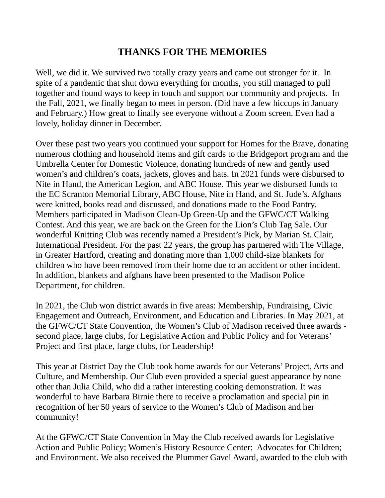# THANKS FOR THE MEMORIES

Well, we did it. We survived two totally crazy years and came out stronger for it. In spite of a pandemic that shut down everything for months, you still managed to pull together and found ways to keep in touch and support our community and projects. In the Fall, 2021, we finally began to meet in person. (Did have a few hiccups in January and February.) How great to finally see everyone without a Zoom screen. Even had a lovely, holiday dinner in December.

Over these past two years you continued your support for Homes for the Brave, donating numerous clothing and household items and gift cards to the Bridgeport program and the Umbrella Center for Domestic Violence, donating hundreds of new and gently used women's and children's coats, jackets, gloves and hats. In 2021 funds were disbursed to Nite in Hand, the American Legion, and ABC House. This year we disbursed funds to the EC Scranton Memorial Library, ABC House, Nite in Hand, and St. Jude's. Afghans were knitted, books read and discussed, and donations made to the Food Pantry. Members participated in Madison Clean-Up Green-Up and the GFWC/CT Walking Contest. And this year, we are back on the Green for the Lion's Club Tag Sale. Our wonderful Knitting Club was recently named a President's Pick, by Marian St. Clair, International President. For the past 22 years, the group has partnered with The Village, in Greater Hartford, creating and donating more than 1,000 child-size blankets for children who have been removed from their home due to an accident or other incident. In addition, blankets and afghans have been presented to the Madison Police Department, for children.

In 2021, the Club won district awards in five areas: Membership, Fundraising, Civic Engagement and Outreach, Environment, and Education and Libraries. In May 2021, at the GFWC/CT State Convention, the Women's Club of Madison received three awards second place, large clubs, for Legislative Action and Public Policy and for Veterans' Project and first place, large clubs, for Leadership!

This year at District Day the Club took home awards for our Veterans' Project, Arts and Culture, and Membership. Our Club even provided a special guest appearance by none other than Julia Child, who did a rather interesting cooking demonstration. It was wonderful to have Barbara Birnie there to receive a proclamation and special pin in recognition of her 50 years of service to the Women's Club of Madison and her community!

At the GFWC/CT State Convention in May the Club received awards for Legislative Action and Public Policy; Women's History Resource Center; Advocates for Children; and Environment. We also received the Plummer Gavel Award, awarded to the club with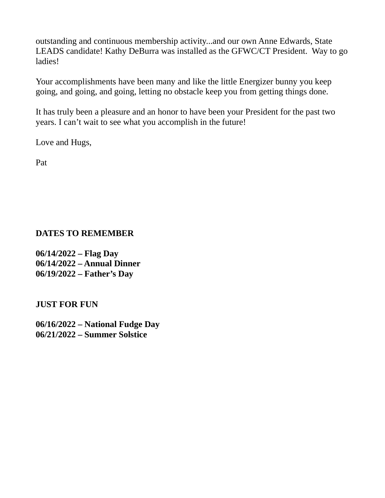outstanding and continuous membership activity...and our own Anne Edwards, State LEADS candidate! Kathy DeBurra was installed as the GFWC/CT President. Way to go ladies!

Your accomplishments have been many and like the little Energizer bunny you keep going, and going, and going, letting no obstacle keep you from getting things done.

It has truly been a pleasure and an honor to have been your President for the past two years. I can't wait to see what you accomplish in the future!

Love and Hugs,

Pat

### DATES TO REMEMBER

06/14/2022 – Flag Day 06/14/2022 – Annual Dinner 06/19/2022 – Father's Day

JUST FOR FUN

06/16/2022 – National Fudge Day 06/21/2022 – Summer Solstice